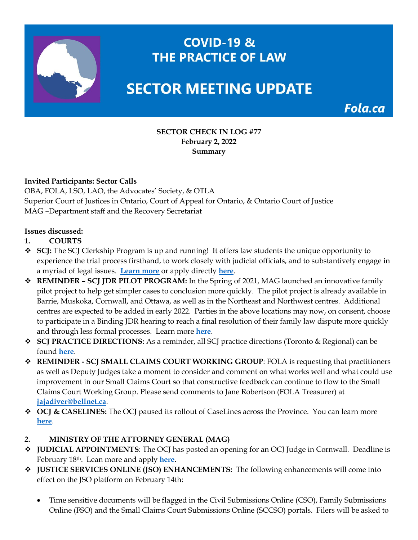

# **COVID-19 & THE PRACTICE OF LAW**

# **SECTOR MEETING UPDATE**

Fola.ca

#### **SECTOR CHECK IN LOG #77 February 2, 2022 Summary**

## **Invited Participants: Sector Calls**

OBA, FOLA, LSO, LAO, the Advocates' Society, & OTLA Superior Court of Justices in Ontario, Court of Appeal for Ontario, & Ontario Court of Justice MAG –Department staff and the Recovery Secretariat

#### **Issues discussed:**

- **1. COURTS**
- **SCJ:** The SCJ Clerkship Program is up and running! It offers law students the unique opportunity to experience the trial process firsthand, to work closely with judicial officials, and to substantively engage in a myriad of legal issues. **[Learn more](https://www.ontariocourts.ca/scj/clerkship/)** or apply directly **[here](https://www.ontariocourts.ca/scj/clerkship/application/)**.
- **REMINDER – SCJ JDR PILOT PROGRAM:** In the Spring of 2021, MAG launched an innovative family pilot project to help get simpler cases to conclusion more quickly. The pilot project is already available in Barrie, Muskoka, Cornwall, and Ottawa, as well as in the Northeast and Northwest centres. Additional centres are expected to be added in early 2022. Parties in the above locations may now, on consent, choose to participate in a Binding JDR hearing to reach a final resolution of their family law dispute more quickly and through less formal processes. Learn more **[here](https://www.ontariocourts.ca/scj/practice/binding-judicial-dispute-resolution-pilot/)**.
- **SCJ PRACTICE DIRECTIONS:** As a reminder, all SCJ practice directions (Toronto & Regional) can be found **[here](https://www.ontariocourts.ca/scj/practice/practice-directions/toronto/)**.
- **REMINDER - SCJ SMALL CLAIMS COURT WORKING GROUP**: FOLA is requesting that practitioners as well as Deputy Judges take a moment to consider and comment on what works well and what could use improvement in our Small Claims Court so that constructive feedback can continue to flow to the Small Claims Court Working Group. Please send comments to Jane Robertson (FOLA Treasurer) at **[jajadiver@bellnet.ca](mailto:jajadiver@bellnet.ca)**.
- ◆ OCJ & CASELINES: The OCJ paused its rollout of CaseLines across the Province. You can learn more **[here](https://www.ontariocourts.ca/ocj/caselines/)**.

## **2. MINISTRY OF THE ATTORNEY GENERAL (MAG)**

- **JUDICIAL APPOINTMENTS**: The OCJ has posted an opening for an OCJ Judge in Cornwall. Deadline is February 18th. Lean more and apply **[here](https://fola.ca/mag#1b502794-1349-48c2-a718-cdb8bed8eabb)**.
- **JUSTICE SERVICES ONLINE (JSO) ENHANCEMENTS:** The following enhancements will come into effect on the JSO platform on February 14th:
	- Time sensitive documents will be flagged in the Civil Submissions Online (CSO), Family Submissions Online (FSO) and the Small Claims Court Submissions Online (SCCSO) portals. Filers will be asked to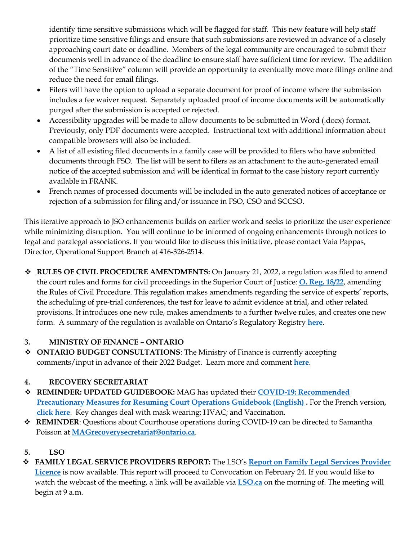identify time sensitive submissions which will be flagged for staff. This new feature will help staff prioritize time sensitive filings and ensure that such submissions are reviewed in advance of a closely approaching court date or deadline. Members of the legal community are encouraged to submit their documents well in advance of the deadline to ensure staff have sufficient time for review. The addition of the "Time Sensitive" column will provide an opportunity to eventually move more filings online and reduce the need for email filings.

- Filers will have the option to upload a separate document for proof of income where the submission includes a fee waiver request. Separately uploaded proof of income documents will be automatically purged after the submission is accepted or rejected.
- Accessibility upgrades will be made to allow documents to be submitted in Word (.docx) format. Previously, only PDF documents were accepted. Instructional text with additional information about compatible browsers will also be included.
- A list of all existing filed documents in a family case will be provided to filers who have submitted documents through FSO. The list will be sent to filers as an attachment to the auto-generated email notice of the accepted submission and will be identical in format to the case history report currently available in FRANK.
- French names of processed documents will be included in the auto generated notices of acceptance or rejection of a submission for filing and/or issuance in FSO, CSO and SCCSO.

This iterative approach to JSO enhancements builds on earlier work and seeks to prioritize the user experience while minimizing disruption. You will continue to be informed of ongoing enhancements through notices to legal and paralegal associations. If you would like to discuss this initiative, please contact Vaia Pappas, Director, Operational Support Branch at 416-326-2514.

**☆** RULES OF CIVIL PROCEDURE AMENDMENTS: On January 21, 2022, a regulation was filed to amend the court rules and forms for civil proceedings in the Superior Court of Justice: **[O. Reg. 18/22](https://www.ontario.ca/laws/regulation/r22018)**, amending the Rules of Civil Procedure. This regulation makes amendments regarding the service of experts' reports, the scheduling of pre-trial conferences, the test for leave to admit evidence at trial, and other related provisions. It introduces one new rule, makes amendments to a further twelve rules, and creates one new form. A summary of the regulation is available on Ontario's Regulatory Registry **[here](https://www.ontariocanada.com/registry/view_posting.jsp;jsessionid=Fkz2WL1A21iMIOcUgQSThFK?postingId=40607&language=en)**.

# **3. MINISTRY OF FINANCE – ONTARIO**

 **ONTARIO BUDGET CONSULTATIONS**: The Ministry of Finance is currently accepting comments/input in advance of their 2022 Budget. Learn more and comment **[here](https://fola.ca/ministry-of-finance-on)**.

# **4. RECOVERY SECRETARIAT**

- **REMINDER: UPDATED GUIDEBOOK:** MAG has updated their **[COVID-19: Recommended](https://www.ontario.ca/page/covid-19-safety-measures-court-locations)  [Precautionary Measures for Resuming Court Operations Guidebook \(English\)](https://www.ontario.ca/page/covid-19-safety-measures-court-locations) .** For the French version, **[click here](https://www.ontario.ca/fr/page/covid-19-mesures-sanitaires-dans-les-tribunaux)**. Key changes deal with mask wearing; HVAC; and Vaccination.
- **REMINDER**: Questions about Courthouse operations during COVID-19 can be directed to Samantha Poisson at **[MAGrecoverysecretariat@ontario.ca](mailto:MAGrecoverysecretariat@ontario.ca)**.

# **5. LSO**

 **FAMILY LEGAL SERVICE PROVIDERS REPORT:** The LSO's **[Report on Family Legal Services Provider](https://lawsocietyontario.azureedge.net/media/lso/media/about/convocation/2022/convocation-february-2022-flsp-report-en.pdf)  [Licence](https://lawsocietyontario.azureedge.net/media/lso/media/about/convocation/2022/convocation-february-2022-flsp-report-en.pdf)** is now available. This report will proceed to Convocation on February 24. If you would like to watch the webcast of the meeting, a link will be available via **[LSO.ca](https://lso.ca/about-lso/convocation/2022/february-24)** on the morning of. The meeting will begin at 9 a.m.